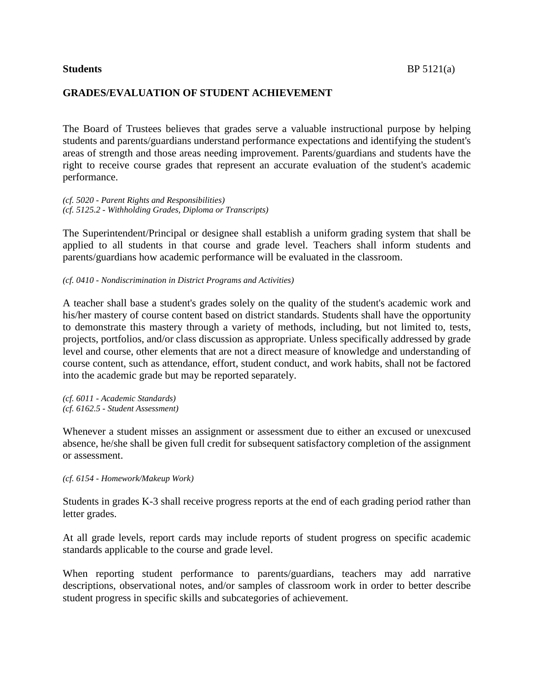## **GRADES/EVALUATION OF STUDENT ACHIEVEMENT**

The Board of Trustees believes that grades serve a valuable instructional purpose by helping students and parents/guardians understand performance expectations and identifying the student's areas of strength and those areas needing improvement. Parents/guardians and students have the right to receive course grades that represent an accurate evaluation of the student's academic performance.

*(cf. 5020 - Parent Rights and Responsibilities) (cf. 5125.2 - Withholding Grades, Diploma or Transcripts)*

The Superintendent/Principal or designee shall establish a uniform grading system that shall be applied to all students in that course and grade level. Teachers shall inform students and parents/guardians how academic performance will be evaluated in the classroom.

*(cf. 0410 - Nondiscrimination in District Programs and Activities)*

A teacher shall base a student's grades solely on the quality of the student's academic work and his/her mastery of course content based on district standards. Students shall have the opportunity to demonstrate this mastery through a variety of methods, including, but not limited to, tests, projects, portfolios, and/or class discussion as appropriate. Unless specifically addressed by grade level and course, other elements that are not a direct measure of knowledge and understanding of course content, such as attendance, effort, student conduct, and work habits, shall not be factored into the academic grade but may be reported separately.

*(cf. 6011 - Academic Standards) (cf. 6162.5 - Student Assessment)*

Whenever a student misses an assignment or assessment due to either an excused or unexcused absence, he/she shall be given full credit for subsequent satisfactory completion of the assignment or assessment.

*(cf. 6154 - Homework/Makeup Work)*

Students in grades K-3 shall receive progress reports at the end of each grading period rather than letter grades.

At all grade levels, report cards may include reports of student progress on specific academic standards applicable to the course and grade level.

When reporting student performance to parents/guardians, teachers may add narrative descriptions, observational notes, and/or samples of classroom work in order to better describe student progress in specific skills and subcategories of achievement.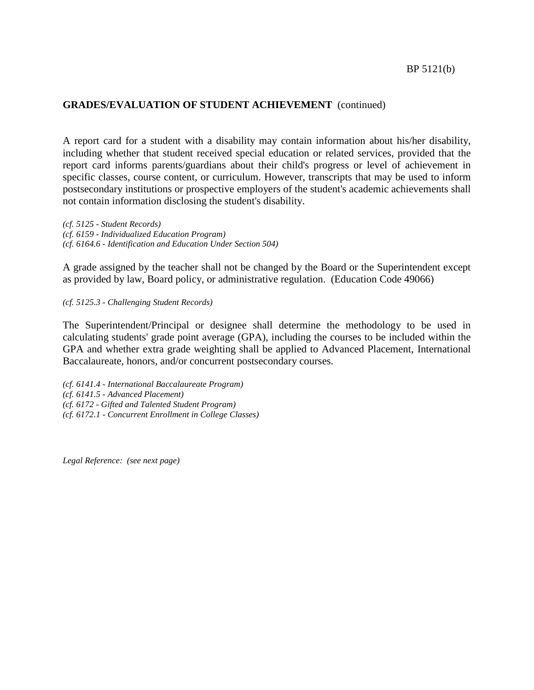## **GRADES/EVALUATION OF STUDENT ACHIEVEMENT** (continued)

A report card for a student with a disability may contain information about his/her disability, including whether that student received special education or related services, provided that the report card informs parents/guardians about their child's progress or level of achievement in specific classes, course content, or curriculum. However, transcripts that may be used to inform postsecondary institutions or prospective employers of the student's academic achievements shall not contain information disclosing the student's disability.

*(cf. 5125 - Student Records) (cf. 6159 - Individualized Education Program) (cf. 6164.6 - Identification and Education Under Section 504)*

A grade assigned by the teacher shall not be changed by the Board or the Superintendent except as provided by law, Board policy, or administrative regulation. (Education Code 49066)

#### *(cf. 5125.3 - Challenging Student Records)*

The Superintendent/Principal or designee shall determine the methodology to be used in calculating students' grade point average (GPA), including the courses to be included within the GPA and whether extra grade weighting shall be applied to Advanced Placement, International Baccalaureate, honors, and/or concurrent postsecondary courses.

*(cf. 6141.4 - International Baccalaureate Program) (cf. 6141.5 - Advanced Placement) (cf. 6172 - Gifted and Talented Student Program) (cf. 6172.1 - Concurrent Enrollment in College Classes)*

*Legal Reference: (see next page)*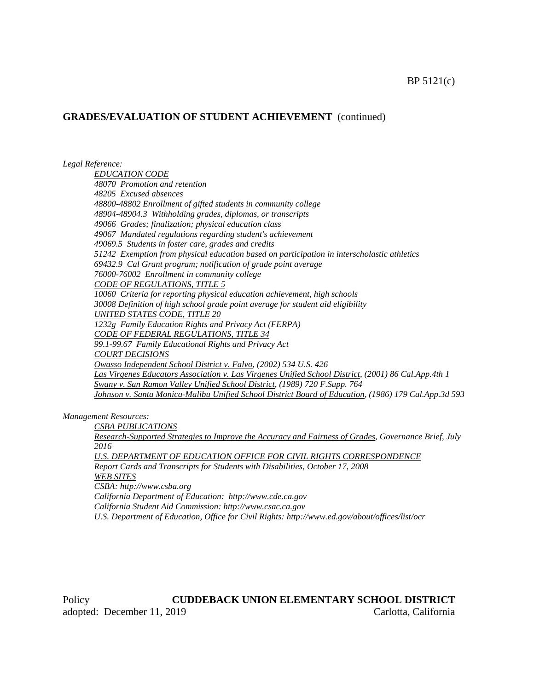#### BP 5121(c)

#### **GRADES/EVALUATION OF STUDENT ACHIEVEMENT** (continued)

*Legal Reference:*

*EDUCATION CODE 48070 Promotion and retention 48205 Excused absences 48800-48802 Enrollment of gifted students in community college 48904-48904.3 Withholding grades, diplomas, or transcripts 49066 Grades; finalization; physical education class 49067 Mandated regulations regarding student's achievement 49069.5 Students in foster care, grades and credits 51242 Exemption from physical education based on participation in interscholastic athletics 69432.9 Cal Grant program; notification of grade point average 76000-76002 Enrollment in community college CODE OF REGULATIONS, TITLE 5 10060 Criteria for reporting physical education achievement, high schools 30008 Definition of high school grade point average for student aid eligibility UNITED STATES CODE, TITLE 20 1232g Family Education Rights and Privacy Act (FERPA) CODE OF FEDERAL REGULATIONS, TITLE 34 99.1-99.67 Family Educational Rights and Privacy Act COURT DECISIONS Owasso Independent School District v. Falvo, (2002) 534 U.S. 426 Las Virgenes Educators Association v. Las Virgenes Unified School District, (2001) 86 Cal.App.4th 1 Swany v. San Ramon Valley Unified School District, (1989) 720 F.Supp. 764 Johnson v. Santa Monica-Malibu Unified School District Board of Education, (1986) 179 Cal.App.3d 593*

*Management Resources:*

*CSBA PUBLICATIONS*

*Research-Supported Strategies to Improve the Accuracy and Fairness of Grades, Governance Brief, July 2016*

*U.S. DEPARTMENT OF EDUCATION OFFICE FOR CIVIL RIGHTS CORRESPONDENCE Report Cards and Transcripts for Students with Disabilities, October 17, 2008 WEB SITES*

*CSBA: http://www.csba.org*

*California Department of Education: http://www.cde.ca.gov*

*California Student Aid Commission: http://www.csac.ca.gov*

*U.S. Department of Education, Office for Civil Rights: http://www.ed.gov/about/offices/list/ocr*

Policy **CUDDEBACK UNION ELEMENTARY SCHOOL DISTRICT** adopted: December 11, 2019 Carlotta, California